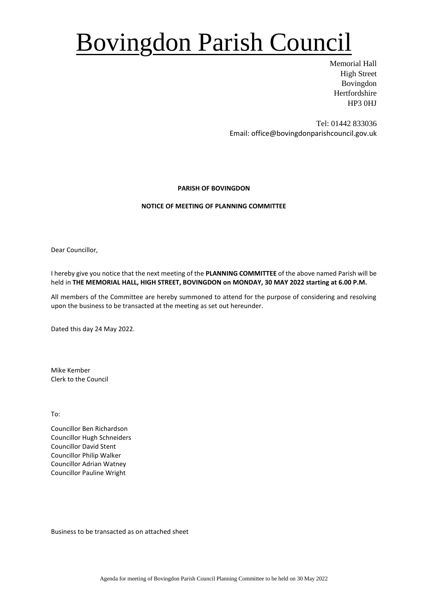# Bovingdon Parish Council

Memorial Hall High Street Bovingdon Hertfordshire HP3 0HJ

Tel: 01442 833036 Email: office@bovingdonparishcouncil.gov.uk

### **PARISH OF BOVINGDON**

### **NOTICE OF MEETING OF PLANNING COMMITTEE**

Dear Councillor,

I hereby give you notice that the next meeting of the **PLANNING COMMITTEE** of the above named Parish will be held in **THE MEMORIAL HALL, HIGH STREET, BOVINGDON on MONDAY, 30 MAY 2022 starting at 6.00 P.M.**

All members of the Committee are hereby summoned to attend for the purpose of considering and resolving upon the business to be transacted at the meeting as set out hereunder.

Dated this day 24 May 2022.

Mike Kember Clerk to the Council

To:

Councillor Ben Richardson Councillor Hugh Schneiders Councillor David Stent Councillor Philip Walker Councillor Adrian Watney Councillor Pauline Wright

Business to be transacted as on attached sheet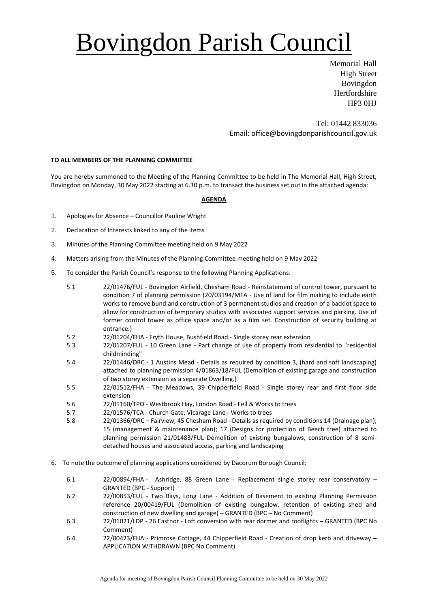# Bovingdon Parish Council

Memorial Hall High Street Bovingdon **Hertfordshire** HP3 0HJ

Tel: 01442 833036 Email: office@bovingdonparishcouncil.gov.uk

### **TO ALL MEMBERS OF THE PLANNING COMMITTEE**

You are hereby summoned to the Meeting of the Planning Committee to be held in The Memorial Hall, High Street, Bovingdon on Monday, 30 May 2022 starting at 6.30 p.m. to transact the business set out in the attached agenda:

### **AGENDA**

- 1. Apologies for Absence Councillor Pauline Wright
- 2. Declaration of Interests linked to any of the items
- 3. Minutes of the Planning Committee meeting held on 9 May 2022
- 4. Matters arising from the Minutes of the Planning Committee meeting held on 9 May 2022
- 5. To consider the Parish Council's response to the following Planning Applications:
	- 5.1 22/01476/FUL Bovingdon Airfield, Chesham Road Reinstatement of control tower, pursuant to condition 7 of planning permission (20/03194/MFA - Use of land for film making to include earth works to remove bund and construction of 3 permanent studios and creation of a backlot space to allow for construction of temporary studios with associated support services and parking. Use of former control tower as office space and/or as a film set. Construction of security building at entrance.)
	- 5.2 22/01204/FHA Fryth House, Bushfield Road Single storey rear extension
	- 22/01207/FUL 10 Green Lane Part change of use of property from residential to "residential childminding"
	- 5.4 22/01446/DRC 1 Austins Mead Details as required by condition 3, (hard and soft landscaping) attached to planning permission 4/01863/18/FUL (Demolition of existing garage and construction of two storey extension as a separate Dwelling.)
	- 5.5 22/01512/FHA The Meadows, 39 Chipperfield Road Single storey rear and first floor side extension
	- 5.6 22/01160/TPO Westbrook Hay, London Road Fell & Works to trees
	- 5.7 22/01576/TCA Church Gate, Vicarage Lane Works to trees
	- 5.8 22/01366/DRC Fairview, 45 Chesham Road Details as required by conditions 14 (Drainage plan); 15 (management & maintenance plan); 17 (Designs for protection of Beech tree) attached to planning permission 21/01483/FUL Demolition of existing bungalows, construction of 8 semidetached houses and associated access, parking and landscaping
- 6. To note the outcome of planning applications considered by Dacorum Borough Council:
	- 6.1 22/00894/FHA Ashridge, 88 Green Lane Replacement single storey rear conservatory GRANTED (BPC - Support)
	- 6.2 22/00853/FUL Two Bays, Long Lane Addition of Basement to existing Planning Permission reference 20/00419/FUL (Demolition of existing bungalow, retention of existing shed and construction of new dwelling and garage) – GRANTED (BPC – No Comment)
	- 6.3 22/01021/LDP 26 Eastnor Loft conversion with rear dormer and rooflights GRANTED (BPC No Comment)
	- 6.4 22/00423/FHA Primrose Cottage, 44 Chipperfield Road Creation of drop kerb and driveway APPLICATION WITHDRAWN (BPC No Comment)